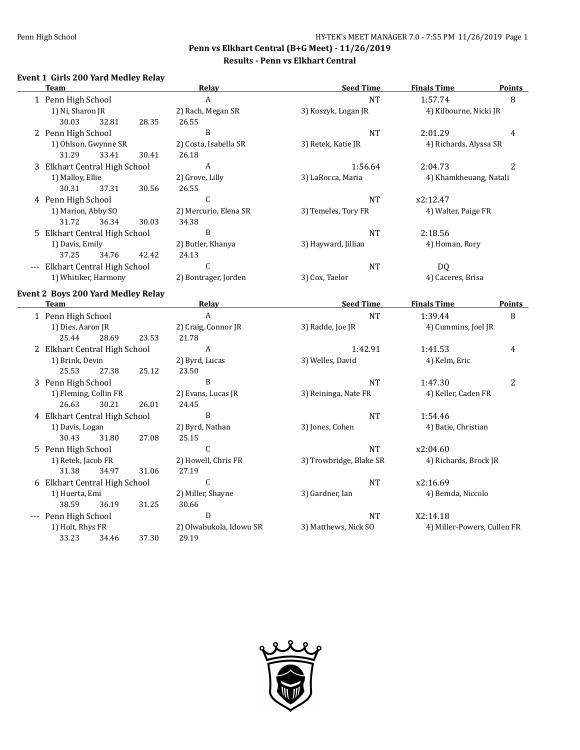# **Penn vs Elkhart Central (B+G Meet) - 11/26/2019**

# **Results - Penn vs Elkhart Central**

#### **Event 1 Girls 200 Yard Medley Relay**

| Team                                      | <b>Relay</b>            | <b>Seed Time</b>        | <b>Finals Time</b>          | <b>Points</b>  |
|-------------------------------------------|-------------------------|-------------------------|-----------------------------|----------------|
| 1 Penn High School                        | $\boldsymbol{A}$        | <b>NT</b>               | 1:57.74                     | 8              |
| 1) Ni, Sharon JR                          | 2) Rach, Megan SR       | 3) Koszyk, Logan JR     | 4) Kilbourne, Nicki JR      |                |
| 30.03<br>32.81<br>28.35                   | 26.55                   |                         |                             |                |
| 2 Penn High School                        | $\mathbf B$             | NT                      | 2:01.29                     | 4              |
| 1) Ohlson, Gwynne SR                      | 2) Costa, Isabella SR   | 3) Retek, Katie JR      | 4) Richards, Alyssa SR      |                |
| 31.29<br>33.41<br>30.41                   | 26.18                   |                         |                             |                |
| 3 Elkhart Central High School             | A                       | 1:56.64                 | 2:04.73                     | $\overline{2}$ |
| 1) Malloy, Ellie                          | 2) Grove, Lilly         | 3) LaRocca, Maria       | 4) Khamkheuang, Natali      |                |
| 30.31<br>37.31<br>30.56                   | 26.55                   |                         |                             |                |
| 4 Penn High School                        | $\mathsf C$             | $\rm{NT}$               | x2:12.47                    |                |
| 1) Marion, Abby SO                        | 2) Mercurio, Elena SR   | 3) Temeles, Tory FR     | 4) Walter, Paige FR         |                |
| 31.72<br>36.34<br>30.03                   | 34.38                   |                         |                             |                |
| 5 Elkhart Central High School             | B                       | <b>NT</b>               | 2:18.56                     |                |
| 1) Davis, Emily                           | 2) Butler, Khanya       | 3) Hayward, Jillian     | 4) Homan, Rory              |                |
| 37.25<br>34.76<br>42.42                   | 24.13                   |                         |                             |                |
| --- Elkhart Central High School           | $\mathsf C$             | $\rm{NT}$               | DQ                          |                |
| 1) Whitiker, Harmony                      | 2) Bontrager, Jorden    | 3) Cox, Taelor          | 4) Caceres, Brisa           |                |
| <b>Event 2 Boys 200 Yard Medley Relay</b> |                         |                         |                             |                |
| Team                                      | Relay                   | <b>Seed Time</b>        | <b>Finals Time</b>          | <b>Points</b>  |
| 1 Penn High School                        | $\mathbf{A}$            | NT                      | 1:39.44                     | 8              |
| 1) Dies, Aaron JR                         | 2) Craig, Connor JR     | 3) Radde, Joe JR        | 4) Cummins, Joel JR         |                |
| 25.44<br>28.69<br>23.53                   | 21.78                   |                         |                             |                |
| 2 Elkhart Central High School             | A                       | 1:42.91                 | 1:41.53                     | 4              |
| 1) Brink, Devin                           | 2) Byrd, Lucas          | 3) Welles, David        | 4) Kelm, Eric               |                |
| 25.53<br>27.38<br>25.12                   | 23.50                   |                         |                             |                |
| 3 Penn High School                        | $\, {\bf B}$            | $\rm{NT}$               | 1:47.30                     | $\overline{2}$ |
| 1) Fleming, Collin FR                     | 2) Evans, Lucas JR      | 3) Reininga, Nate FR    | 4) Keller, Caden FR         |                |
| 26.63<br>30.21<br>26.01                   | 24.45                   |                         |                             |                |
| 4 Elkhart Central High School             | B                       | <b>NT</b>               | 1:54.46                     |                |
| 1) Davis, Logan                           | 2) Byrd, Nathan         | 3) Jones, Cohen         | 4) Batie, Christian         |                |
| 30.43<br>31.80<br>27.08                   | 25.15                   |                         |                             |                |
| 5 Penn High School                        | $\mathsf C$             | $\rm{NT}$               | x2:04.60                    |                |
| 1) Retek, Jacob FR                        | 2) Howell, Chris FR     | 3) Trowbridge, Blake SR | 4) Richards, Brock JR       |                |
| 31.38<br>34.97<br>31.06                   | 27.19                   |                         |                             |                |
| 6 Elkhart Central High School             | $\mathsf{C}$            | $\rm{NT}$               | x2:16.69                    |                |
| 1) Huerta, Emi                            | 2) Miller, Shayne       | 3) Gardner, Ian         | 4) Bemda, Niccolo           |                |
| 38.59<br>36.19<br>31.25                   | 30.66                   |                         |                             |                |
| --- Penn High School                      | $\mathbf D$             | <b>NT</b>               | X2:14.18                    |                |
| 1) Holt, Rhys FR                          | 2) Olwabukola, Idowu SR | 3) Matthews, Nick SO    | 4) Miller-Powers, Cullen FR |                |
| 37.30<br>33.23<br>34.46                   | 29.19                   |                         |                             |                |

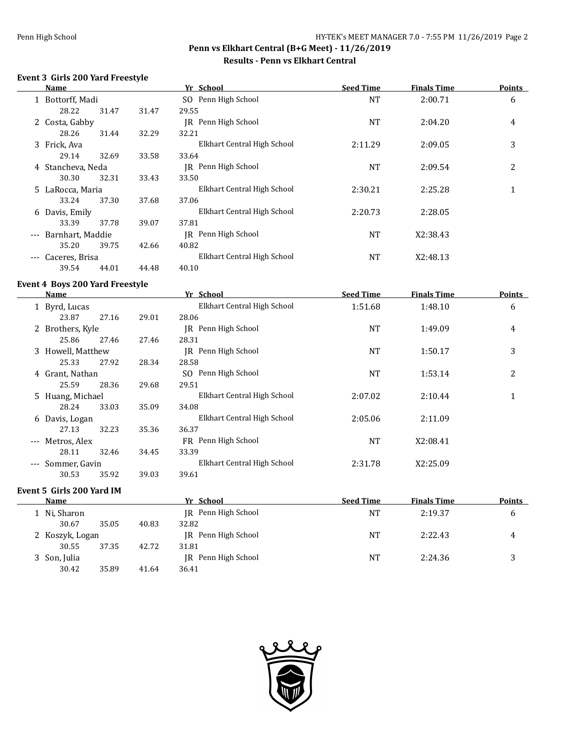$\overline{\phantom{0}}$ 

### **Penn vs Elkhart Central (B+G Meet) - 11/26/2019 Results - Penn vs Elkhart Central**

#### **Event 3 Girls 200 Yard Freestyle**

|          | Name              |       |       | Yr School                   | <b>Seed Time</b> | <b>Finals Time</b> | <b>Points</b>  |
|----------|-------------------|-------|-------|-----------------------------|------------------|--------------------|----------------|
|          | 1 Bottorff, Madi  |       |       | SO Penn High School         | <b>NT</b>        | 2:00.71            | 6              |
|          | 28.22             | 31.47 | 31.47 | 29.55                       |                  |                    |                |
|          | 2 Costa, Gabby    |       |       | Penn High School<br>IR      | <b>NT</b>        | 2:04.20            | 4              |
|          | 28.26             | 31.44 | 32.29 | 32.21                       |                  |                    |                |
|          | 3 Frick, Ava      |       |       | Elkhart Central High School | 2:11.29          | 2:09.05            | 3              |
|          | 29.14             | 32.69 | 33.58 | 33.64                       |                  |                    |                |
|          | 4 Stancheva, Neda |       |       | JR Penn High School         | <b>NT</b>        | 2:09.54            | $\overline{2}$ |
|          | 30.30             | 32.31 | 33.43 | 33.50                       |                  |                    |                |
|          | 5 LaRocca, Maria  |       |       | Elkhart Central High School | 2:30.21          | 2:25.28            | 1              |
|          | 33.24             | 37.30 | 37.68 | 37.06                       |                  |                    |                |
|          | 6 Davis, Emily    |       |       | Elkhart Central High School | 2:20.73          | 2:28.05            |                |
|          | 33.39             | 37.78 | 39.07 | 37.81                       |                  |                    |                |
| $---$    | Barnhart, Maddie  |       |       | Penn High School<br>IR      | NT               | X2:38.43           |                |
|          | 35.20             | 39.75 | 42.66 | 40.82                       |                  |                    |                |
| $\cdots$ | Caceres, Brisa    |       |       | Elkhart Central High School | NT               | X2:48.13           |                |
|          | 39.54             | 44.01 | 44.48 | 40.10                       |                  |                    |                |

#### **Event 4 Boys 200 Yard Freestyle**

| Name     |                           |       | Yr School | <b>Seed Time</b>            | Finals Time      | Points             |                |
|----------|---------------------------|-------|-----------|-----------------------------|------------------|--------------------|----------------|
|          | 1 Byrd, Lucas             |       |           | Elkhart Central High School | 1:51.68          | 1:48.10            | 6              |
|          | 23.87                     | 27.16 | 29.01     | 28.06                       |                  |                    |                |
|          | 2 Brothers, Kyle          |       |           | IR Penn High School         | <b>NT</b>        | 1:49.09            | 4              |
|          | 25.86                     | 27.46 | 27.46     | 28.31                       |                  |                    |                |
|          | 3 Howell, Matthew         |       |           | JR Penn High School         | <b>NT</b>        | 1:50.17            | 3              |
|          | 25.33                     | 27.92 | 28.34     | 28.58                       |                  |                    |                |
| 4        | Grant, Nathan             |       |           | SO Penn High School         | NT               | 1:53.14            | $\overline{c}$ |
|          | 25.59                     | 28.36 | 29.68     | 29.51                       |                  |                    |                |
|          | 5 Huang, Michael          |       |           | Elkhart Central High School | 2:07.02          | 2:10.44            | $\mathbf{1}$   |
|          | 28.24                     | 33.03 | 35.09     | 34.08                       |                  |                    |                |
| 6        | Davis, Logan              |       |           | Elkhart Central High School | 2:05.06          | 2:11.09            |                |
|          | 27.13                     | 32.23 | 35.36     | 36.37                       |                  |                    |                |
| $\cdots$ | Metros, Alex              |       |           | FR Penn High School         | <b>NT</b>        | X2:08.41           |                |
|          | 28.11                     | 32.46 | 34.45     | 33.39                       |                  |                    |                |
| $---$    | Sommer, Gavin             |       |           | Elkhart Central High School | 2:31.78          | X2:25.09           |                |
|          | 30.53                     | 35.92 | 39.03     | 39.61                       |                  |                    |                |
|          | Event 5 Girls 200 Yard IM |       |           |                             |                  |                    |                |
|          | Name                      |       |           | Yr School                   | <b>Seed Time</b> | <b>Finals Time</b> | <b>Points</b>  |
|          | 1 Ni, Sharon              |       |           | IR Penn High School         | <b>NT</b>        | 2:19.37            | 6              |

| 4 |
|---|
|   |
|   |
|   |
|   |

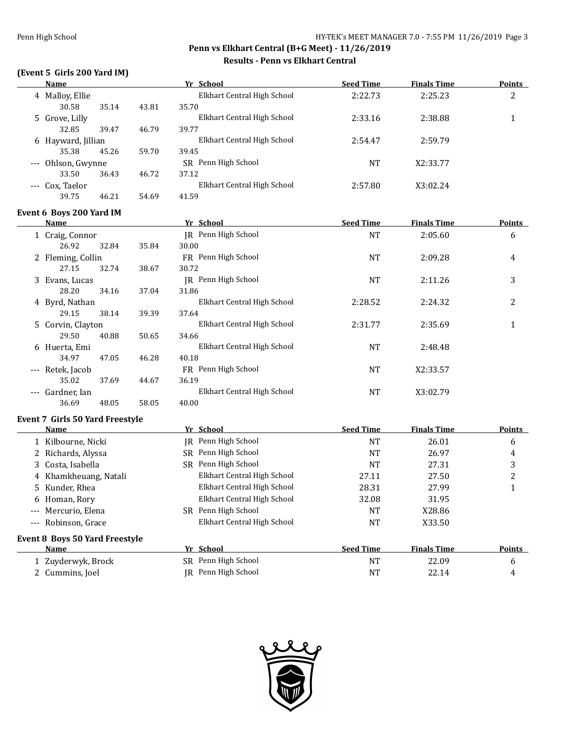# **(Event 5 Girls 200 Yard IM)**

| <u>Name</u> |                                                                                                                                                                                                                                                                                                                                                                                                                                                                                                                                          | Yr School                                                                                                                                                                                                                                                                                                                                 | <b>Seed Time</b>                                                                                                                                                                                                                                                                                                                                                                                                                                                                                                                               | <b>Finals Time</b>                                                                                                                                                                                                                   | <b>Points</b>                                                                                                                                                                                                |
|-------------|------------------------------------------------------------------------------------------------------------------------------------------------------------------------------------------------------------------------------------------------------------------------------------------------------------------------------------------------------------------------------------------------------------------------------------------------------------------------------------------------------------------------------------------|-------------------------------------------------------------------------------------------------------------------------------------------------------------------------------------------------------------------------------------------------------------------------------------------------------------------------------------------|------------------------------------------------------------------------------------------------------------------------------------------------------------------------------------------------------------------------------------------------------------------------------------------------------------------------------------------------------------------------------------------------------------------------------------------------------------------------------------------------------------------------------------------------|--------------------------------------------------------------------------------------------------------------------------------------------------------------------------------------------------------------------------------------|--------------------------------------------------------------------------------------------------------------------------------------------------------------------------------------------------------------|
|             |                                                                                                                                                                                                                                                                                                                                                                                                                                                                                                                                          | Elkhart Central High School                                                                                                                                                                                                                                                                                                               | 2:22.73                                                                                                                                                                                                                                                                                                                                                                                                                                                                                                                                        | 2:25.23                                                                                                                                                                                                                              | 2                                                                                                                                                                                                            |
| 30.58       | 43.81                                                                                                                                                                                                                                                                                                                                                                                                                                                                                                                                    | 35.70                                                                                                                                                                                                                                                                                                                                     |                                                                                                                                                                                                                                                                                                                                                                                                                                                                                                                                                |                                                                                                                                                                                                                                      |                                                                                                                                                                                                              |
|             |                                                                                                                                                                                                                                                                                                                                                                                                                                                                                                                                          | Elkhart Central High School                                                                                                                                                                                                                                                                                                               | 2:33.16                                                                                                                                                                                                                                                                                                                                                                                                                                                                                                                                        | 2:38.88                                                                                                                                                                                                                              | $\mathbf{1}$                                                                                                                                                                                                 |
| 32.85       | 46.79                                                                                                                                                                                                                                                                                                                                                                                                                                                                                                                                    | 39.77                                                                                                                                                                                                                                                                                                                                     |                                                                                                                                                                                                                                                                                                                                                                                                                                                                                                                                                |                                                                                                                                                                                                                                      |                                                                                                                                                                                                              |
|             |                                                                                                                                                                                                                                                                                                                                                                                                                                                                                                                                          | Elkhart Central High School                                                                                                                                                                                                                                                                                                               | 2:54.47                                                                                                                                                                                                                                                                                                                                                                                                                                                                                                                                        | 2:59.79                                                                                                                                                                                                                              |                                                                                                                                                                                                              |
| 35.38       | 59.70                                                                                                                                                                                                                                                                                                                                                                                                                                                                                                                                    | 39.45                                                                                                                                                                                                                                                                                                                                     |                                                                                                                                                                                                                                                                                                                                                                                                                                                                                                                                                |                                                                                                                                                                                                                                      |                                                                                                                                                                                                              |
|             |                                                                                                                                                                                                                                                                                                                                                                                                                                                                                                                                          | SR Penn High School                                                                                                                                                                                                                                                                                                                       | <b>NT</b>                                                                                                                                                                                                                                                                                                                                                                                                                                                                                                                                      | X2:33.77                                                                                                                                                                                                                             |                                                                                                                                                                                                              |
| 33.50       | 46.72                                                                                                                                                                                                                                                                                                                                                                                                                                                                                                                                    | 37.12                                                                                                                                                                                                                                                                                                                                     |                                                                                                                                                                                                                                                                                                                                                                                                                                                                                                                                                |                                                                                                                                                                                                                                      |                                                                                                                                                                                                              |
|             |                                                                                                                                                                                                                                                                                                                                                                                                                                                                                                                                          | Elkhart Central High School                                                                                                                                                                                                                                                                                                               | 2:57.80                                                                                                                                                                                                                                                                                                                                                                                                                                                                                                                                        | X3:02.24                                                                                                                                                                                                                             |                                                                                                                                                                                                              |
| 39.75       | 54.69                                                                                                                                                                                                                                                                                                                                                                                                                                                                                                                                    | 41.59                                                                                                                                                                                                                                                                                                                                     |                                                                                                                                                                                                                                                                                                                                                                                                                                                                                                                                                |                                                                                                                                                                                                                                      |                                                                                                                                                                                                              |
|             |                                                                                                                                                                                                                                                                                                                                                                                                                                                                                                                                          |                                                                                                                                                                                                                                                                                                                                           |                                                                                                                                                                                                                                                                                                                                                                                                                                                                                                                                                |                                                                                                                                                                                                                                      |                                                                                                                                                                                                              |
|             |                                                                                                                                                                                                                                                                                                                                                                                                                                                                                                                                          |                                                                                                                                                                                                                                                                                                                                           |                                                                                                                                                                                                                                                                                                                                                                                                                                                                                                                                                |                                                                                                                                                                                                                                      | <b>Points</b>                                                                                                                                                                                                |
|             |                                                                                                                                                                                                                                                                                                                                                                                                                                                                                                                                          |                                                                                                                                                                                                                                                                                                                                           |                                                                                                                                                                                                                                                                                                                                                                                                                                                                                                                                                |                                                                                                                                                                                                                                      | 6                                                                                                                                                                                                            |
|             |                                                                                                                                                                                                                                                                                                                                                                                                                                                                                                                                          |                                                                                                                                                                                                                                                                                                                                           |                                                                                                                                                                                                                                                                                                                                                                                                                                                                                                                                                |                                                                                                                                                                                                                                      |                                                                                                                                                                                                              |
|             |                                                                                                                                                                                                                                                                                                                                                                                                                                                                                                                                          |                                                                                                                                                                                                                                                                                                                                           |                                                                                                                                                                                                                                                                                                                                                                                                                                                                                                                                                |                                                                                                                                                                                                                                      | 4                                                                                                                                                                                                            |
|             |                                                                                                                                                                                                                                                                                                                                                                                                                                                                                                                                          |                                                                                                                                                                                                                                                                                                                                           |                                                                                                                                                                                                                                                                                                                                                                                                                                                                                                                                                |                                                                                                                                                                                                                                      |                                                                                                                                                                                                              |
|             |                                                                                                                                                                                                                                                                                                                                                                                                                                                                                                                                          |                                                                                                                                                                                                                                                                                                                                           |                                                                                                                                                                                                                                                                                                                                                                                                                                                                                                                                                |                                                                                                                                                                                                                                      | 3                                                                                                                                                                                                            |
|             |                                                                                                                                                                                                                                                                                                                                                                                                                                                                                                                                          |                                                                                                                                                                                                                                                                                                                                           |                                                                                                                                                                                                                                                                                                                                                                                                                                                                                                                                                |                                                                                                                                                                                                                                      |                                                                                                                                                                                                              |
|             |                                                                                                                                                                                                                                                                                                                                                                                                                                                                                                                                          |                                                                                                                                                                                                                                                                                                                                           |                                                                                                                                                                                                                                                                                                                                                                                                                                                                                                                                                |                                                                                                                                                                                                                                      | 2                                                                                                                                                                                                            |
|             |                                                                                                                                                                                                                                                                                                                                                                                                                                                                                                                                          |                                                                                                                                                                                                                                                                                                                                           |                                                                                                                                                                                                                                                                                                                                                                                                                                                                                                                                                |                                                                                                                                                                                                                                      |                                                                                                                                                                                                              |
|             |                                                                                                                                                                                                                                                                                                                                                                                                                                                                                                                                          |                                                                                                                                                                                                                                                                                                                                           |                                                                                                                                                                                                                                                                                                                                                                                                                                                                                                                                                |                                                                                                                                                                                                                                      | $\mathbf{1}$                                                                                                                                                                                                 |
|             |                                                                                                                                                                                                                                                                                                                                                                                                                                                                                                                                          |                                                                                                                                                                                                                                                                                                                                           |                                                                                                                                                                                                                                                                                                                                                                                                                                                                                                                                                |                                                                                                                                                                                                                                      |                                                                                                                                                                                                              |
|             |                                                                                                                                                                                                                                                                                                                                                                                                                                                                                                                                          |                                                                                                                                                                                                                                                                                                                                           |                                                                                                                                                                                                                                                                                                                                                                                                                                                                                                                                                |                                                                                                                                                                                                                                      |                                                                                                                                                                                                              |
|             |                                                                                                                                                                                                                                                                                                                                                                                                                                                                                                                                          |                                                                                                                                                                                                                                                                                                                                           |                                                                                                                                                                                                                                                                                                                                                                                                                                                                                                                                                |                                                                                                                                                                                                                                      |                                                                                                                                                                                                              |
|             |                                                                                                                                                                                                                                                                                                                                                                                                                                                                                                                                          |                                                                                                                                                                                                                                                                                                                                           |                                                                                                                                                                                                                                                                                                                                                                                                                                                                                                                                                |                                                                                                                                                                                                                                      |                                                                                                                                                                                                              |
|             |                                                                                                                                                                                                                                                                                                                                                                                                                                                                                                                                          |                                                                                                                                                                                                                                                                                                                                           |                                                                                                                                                                                                                                                                                                                                                                                                                                                                                                                                                |                                                                                                                                                                                                                                      |                                                                                                                                                                                                              |
|             |                                                                                                                                                                                                                                                                                                                                                                                                                                                                                                                                          |                                                                                                                                                                                                                                                                                                                                           |                                                                                                                                                                                                                                                                                                                                                                                                                                                                                                                                                |                                                                                                                                                                                                                                      |                                                                                                                                                                                                              |
|             |                                                                                                                                                                                                                                                                                                                                                                                                                                                                                                                                          |                                                                                                                                                                                                                                                                                                                                           |                                                                                                                                                                                                                                                                                                                                                                                                                                                                                                                                                |                                                                                                                                                                                                                                      |                                                                                                                                                                                                              |
|             |                                                                                                                                                                                                                                                                                                                                                                                                                                                                                                                                          |                                                                                                                                                                                                                                                                                                                                           |                                                                                                                                                                                                                                                                                                                                                                                                                                                                                                                                                |                                                                                                                                                                                                                                      |                                                                                                                                                                                                              |
|             |                                                                                                                                                                                                                                                                                                                                                                                                                                                                                                                                          |                                                                                                                                                                                                                                                                                                                                           |                                                                                                                                                                                                                                                                                                                                                                                                                                                                                                                                                |                                                                                                                                                                                                                                      |                                                                                                                                                                                                              |
|             |                                                                                                                                                                                                                                                                                                                                                                                                                                                                                                                                          |                                                                                                                                                                                                                                                                                                                                           |                                                                                                                                                                                                                                                                                                                                                                                                                                                                                                                                                |                                                                                                                                                                                                                                      | <b>Points</b>                                                                                                                                                                                                |
|             |                                                                                                                                                                                                                                                                                                                                                                                                                                                                                                                                          |                                                                                                                                                                                                                                                                                                                                           |                                                                                                                                                                                                                                                                                                                                                                                                                                                                                                                                                |                                                                                                                                                                                                                                      | 6                                                                                                                                                                                                            |
|             |                                                                                                                                                                                                                                                                                                                                                                                                                                                                                                                                          |                                                                                                                                                                                                                                                                                                                                           |                                                                                                                                                                                                                                                                                                                                                                                                                                                                                                                                                |                                                                                                                                                                                                                                      | 4                                                                                                                                                                                                            |
|             |                                                                                                                                                                                                                                                                                                                                                                                                                                                                                                                                          |                                                                                                                                                                                                                                                                                                                                           |                                                                                                                                                                                                                                                                                                                                                                                                                                                                                                                                                |                                                                                                                                                                                                                                      | 3                                                                                                                                                                                                            |
|             |                                                                                                                                                                                                                                                                                                                                                                                                                                                                                                                                          |                                                                                                                                                                                                                                                                                                                                           |                                                                                                                                                                                                                                                                                                                                                                                                                                                                                                                                                |                                                                                                                                                                                                                                      | $\overline{2}$                                                                                                                                                                                               |
|             |                                                                                                                                                                                                                                                                                                                                                                                                                                                                                                                                          |                                                                                                                                                                                                                                                                                                                                           |                                                                                                                                                                                                                                                                                                                                                                                                                                                                                                                                                |                                                                                                                                                                                                                                      | $\mathbf{1}$                                                                                                                                                                                                 |
|             |                                                                                                                                                                                                                                                                                                                                                                                                                                                                                                                                          |                                                                                                                                                                                                                                                                                                                                           |                                                                                                                                                                                                                                                                                                                                                                                                                                                                                                                                                |                                                                                                                                                                                                                                      |                                                                                                                                                                                                              |
|             |                                                                                                                                                                                                                                                                                                                                                                                                                                                                                                                                          |                                                                                                                                                                                                                                                                                                                                           |                                                                                                                                                                                                                                                                                                                                                                                                                                                                                                                                                |                                                                                                                                                                                                                                      |                                                                                                                                                                                                              |
|             |                                                                                                                                                                                                                                                                                                                                                                                                                                                                                                                                          |                                                                                                                                                                                                                                                                                                                                           |                                                                                                                                                                                                                                                                                                                                                                                                                                                                                                                                                |                                                                                                                                                                                                                                      |                                                                                                                                                                                                              |
|             |                                                                                                                                                                                                                                                                                                                                                                                                                                                                                                                                          |                                                                                                                                                                                                                                                                                                                                           |                                                                                                                                                                                                                                                                                                                                                                                                                                                                                                                                                |                                                                                                                                                                                                                                      |                                                                                                                                                                                                              |
| Name        |                                                                                                                                                                                                                                                                                                                                                                                                                                                                                                                                          | Yr School                                                                                                                                                                                                                                                                                                                                 | <b>Seed Time</b>                                                                                                                                                                                                                                                                                                                                                                                                                                                                                                                               | <b>Finals Time</b>                                                                                                                                                                                                                   | Points                                                                                                                                                                                                       |
|             |                                                                                                                                                                                                                                                                                                                                                                                                                                                                                                                                          | SR Penn High School                                                                                                                                                                                                                                                                                                                       | <b>NT</b>                                                                                                                                                                                                                                                                                                                                                                                                                                                                                                                                      | 22.09                                                                                                                                                                                                                                | 6                                                                                                                                                                                                            |
|             |                                                                                                                                                                                                                                                                                                                                                                                                                                                                                                                                          | JR Penn High School                                                                                                                                                                                                                                                                                                                       | <b>NT</b>                                                                                                                                                                                                                                                                                                                                                                                                                                                                                                                                      | 22.14                                                                                                                                                                                                                                | 4                                                                                                                                                                                                            |
|             | 4 Malloy, Ellie<br>5 Grove, Lilly<br>6 Hayward, Jillian<br>--- Ohlson, Gwynne<br>--- Cox, Taelor<br><b>Name</b><br>1 Craig, Connor<br>26.92<br>2 Fleming, Collin<br>27.15<br>3 Evans, Lucas<br>28.20<br>4 Byrd, Nathan<br>29.15<br>5 Corvin, Clayton<br>29.50<br>6 Huerta, Emi<br>34.97<br>--- Retek, Jacob<br>35.02<br>--- Gardner, Ian<br>36.69<br><b>Name</b><br>1 Kilbourne, Nicki<br>2 Richards, Alyssa<br>3 Costa, Isabella<br>5 Kunder, Rhea<br>Homan, Rory<br>6<br>--- Mercurio, Elena<br>--- Robinson, Grace<br>2 Cummins, Joel | 35.14<br>39.47<br>45.26<br>36.43<br>46.21<br>Event 6 Boys 200 Yard IM<br>35.84<br>32.84<br>32.74<br>38.67<br>34.16<br>37.04<br>38.14<br>39.39<br>40.88<br>50.65<br>47.05<br>46.28<br>37.69<br>44.67<br>48.05<br>58.05<br>Event 7 Girls 50 Yard Freestyle<br>4 Khamkheuang, Natali<br>Event 8 Boys 50 Yard Freestyle<br>1 Zuyderwyk, Brock | Yr School<br>JR Penn High School<br>30.00<br>FR Penn High School<br>30.72<br>JR Penn High School<br>31.86<br>Elkhart Central High School<br>37.64<br>Elkhart Central High School<br>34.66<br>Elkhart Central High School<br>40.18<br>FR Penn High School<br>36.19<br>Elkhart Central High School<br>40.00<br>Yr School<br>JR Penn High School<br>SR Penn High School<br>SR Penn High School<br>Elkhart Central High School<br>Elkhart Central High School<br>Elkhart Central High School<br>SR Penn High School<br>Elkhart Central High School | <b>Seed Time</b><br><b>NT</b><br><b>NT</b><br><b>NT</b><br>2:28.52<br>2:31.77<br><b>NT</b><br><b>NT</b><br><b>NT</b><br><b>Seed Time</b><br><b>NT</b><br><b>NT</b><br><b>NT</b><br>27.11<br>28.31<br>32.08<br><b>NT</b><br><b>NT</b> | <b>Finals Time</b><br>2:05.60<br>2:09.28<br>2:11.26<br>2:24.32<br>2:35.69<br>2:48.48<br>X2:33.57<br>X3:02.79<br><b>Finals Time</b><br>26.01<br>26.97<br>27.31<br>27.50<br>27.99<br>31.95<br>X28.86<br>X33.50 |

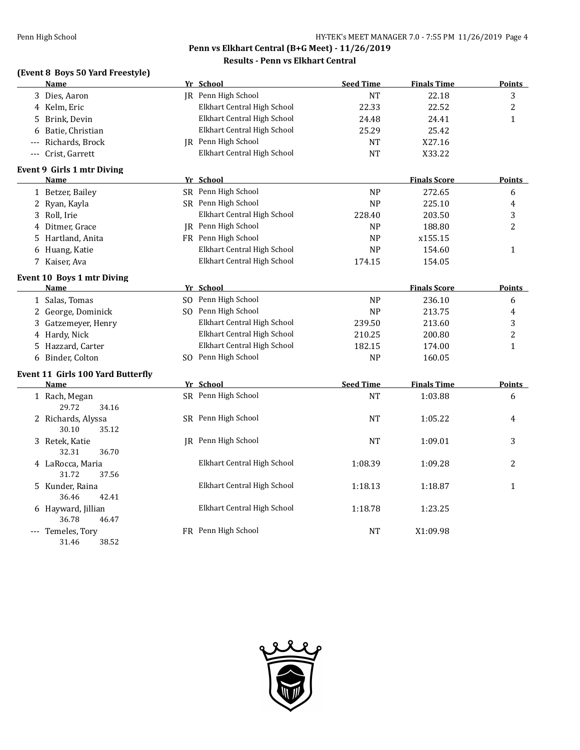# **(Event 8 Boys 50 Yard Freestyle)**

|       | Name                              | Yr School                   | <b>Seed Time</b>                  | <b>Finals Time</b>  | <b>Points</b>           |
|-------|-----------------------------------|-----------------------------|-----------------------------------|---------------------|-------------------------|
|       | 3 Dies, Aaron                     | JR Penn High School         | NT                                | 22.18               | 3                       |
|       | 4 Kelm, Eric                      | Elkhart Central High School | 22.33                             | 22.52               | $\overline{c}$          |
|       | 5 Brink, Devin                    | Elkhart Central High School | 24.48                             | 24.41               | $\mathbf{1}$            |
|       | 6 Batie, Christian                | Elkhart Central High School | 25.29                             | 25.42               |                         |
| ---   | Richards, Brock                   | JR Penn High School         | $\rm{NT}$                         | X27.16              |                         |
| $---$ | Crist, Garrett                    | Elkhart Central High School | $\rm{NT}$                         | X33.22              |                         |
|       | Event 9 Girls 1 mtr Diving        |                             |                                   |                     |                         |
|       | Name                              | Yr School                   |                                   | <b>Finals Score</b> | <b>Points</b>           |
|       | 1 Betzer, Bailey                  | SR Penn High School         | NP                                | 272.65              | 6                       |
|       | 2 Ryan, Kayla                     | SR Penn High School         | <b>NP</b>                         | 225.10              | 4                       |
|       | 3 Roll, Irie                      | Elkhart Central High School | 228.40                            | 203.50              | 3                       |
|       | 4 Ditmer, Grace                   | JR Penn High School         | NP                                | 188.80              | 2                       |
|       | 5 Hartland, Anita                 | FR Penn High School         | NP                                | x155.15             |                         |
|       | 6 Huang, Katie                    | Elkhart Central High School | NP                                | 154.60              | $\mathbf{1}$            |
|       | 7 Kaiser, Ava                     | Elkhart Central High School | 174.15                            | 154.05              |                         |
|       | Event 10 Boys 1 mtr Diving        |                             |                                   |                     |                         |
|       | <b>Name</b>                       | Yr School                   |                                   | <b>Finals Score</b> | Points                  |
|       | 1 Salas, Tomas                    | SO Penn High School         | $\ensuremath{\mathsf{NP}}\xspace$ | 236.10              | 6                       |
|       | 2 George, Dominick                | SO Penn High School         | NP                                | 213.75              | 4                       |
|       | 3 Gatzemeyer, Henry               | Elkhart Central High School | 239.50                            | 213.60              | 3                       |
|       | 4 Hardy, Nick                     | Elkhart Central High School | 210.25                            | 200.80              | $\overline{\mathbf{c}}$ |
|       | 5 Hazzard, Carter                 | Elkhart Central High School | 182.15                            | 174.00              | $\mathbf{1}$            |
|       | 6 Binder, Colton                  | SO Penn High School         | NP                                | 160.05              |                         |
|       | Event 11 Girls 100 Yard Butterfly |                             |                                   |                     |                         |
|       | <b>Name</b>                       | Yr School                   | <b>Seed Time</b>                  | <b>Finals Time</b>  | <b>Points</b>           |
|       | 1 Rach, Megan                     | SR Penn High School         | <b>NT</b>                         | 1:03.88             | 6                       |
|       | 29.72<br>34.16                    |                             |                                   |                     |                         |
|       | 2 Richards, Alyssa                | SR Penn High School         | <b>NT</b>                         | 1:05.22             | 4                       |
|       | 30.10<br>35.12                    |                             |                                   |                     |                         |
|       | 3 Retek, Katie                    | JR Penn High School         | NT                                | 1:09.01             | 3                       |
|       | 32.31<br>36.70                    |                             |                                   |                     |                         |
|       | 4 LaRocca, Maria                  | Elkhart Central High School | 1:08.39                           | 1:09.28             | 2                       |
|       | 31.72<br>37.56                    |                             |                                   |                     |                         |
|       | 5 Kunder, Raina                   | Elkhart Central High School | 1:18.13                           | 1:18.87             | $\mathbf{1}$            |
|       | 36.46<br>42.41                    |                             |                                   |                     |                         |
|       | 6 Hayward, Jillian                | Elkhart Central High School | 1:18.78                           | 1:23.25             |                         |
|       | 36.78<br>46.47                    |                             |                                   |                     |                         |
|       | --- Temeles, Tory                 | FR Penn High School         | NT                                | X1:09.98            |                         |
|       | 38.52<br>31.46                    |                             |                                   |                     |                         |

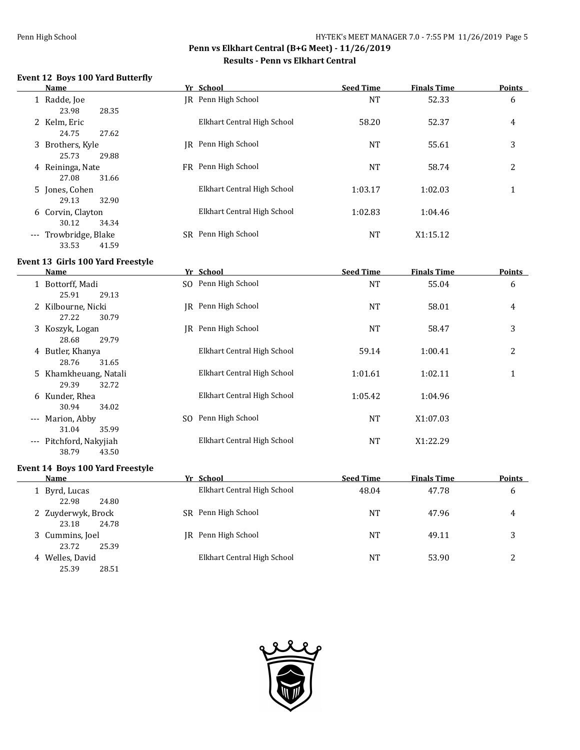#### **Event 12 Boys 100 Yard Butterfly**

| Name                  |     | Yr School                   | <b>Seed Time</b> | <b>Finals Time</b> | <b>Points</b> |
|-----------------------|-----|-----------------------------|------------------|--------------------|---------------|
| 1 Radde, Joe          |     | JR Penn High School         | <b>NT</b>        | 52.33              | 6             |
| 28.35<br>23.98        |     |                             |                  |                    |               |
| 2 Kelm, Eric          |     | Elkhart Central High School | 58.20            | 52.37              | 4             |
| 27.62<br>24.75        |     |                             |                  |                    |               |
| 3 Brothers, Kyle      |     | IR Penn High School         | <b>NT</b>        | 55.61              | 3             |
| 25.73<br>29.88        |     |                             |                  |                    |               |
| 4 Reininga, Nate      |     | FR Penn High School         | <b>NT</b>        | 58.74              | 2             |
| 27.08<br>31.66        |     |                             |                  |                    |               |
| 5 Jones, Cohen        |     | Elkhart Central High School | 1:03.17          | 1:02.03            | 1             |
| 32.90<br>29.13        |     |                             |                  |                    |               |
| 6 Corvin, Clayton     |     | Elkhart Central High School | 1:02.83          | 1:04.46            |               |
| 34.34<br>30.12        |     |                             |                  |                    |               |
| --- Trowbridge, Blake | SR. | Penn High School            | <b>NT</b>        | X1:15.12           |               |
| 33.53<br>41.59        |     |                             |                  |                    |               |

#### **Event 13 Girls 100 Yard Freestyle**

|                     | Name                                      |     | Yr School                   | <b>Seed Time</b> | <b>Finals Time</b> | <b>Points</b> |
|---------------------|-------------------------------------------|-----|-----------------------------|------------------|--------------------|---------------|
|                     | 1 Bottorff, Madi                          |     | SO Penn High School         | <b>NT</b>        | 55.04              | 6             |
|                     | 29.13<br>25.91<br>2 Kilbourne, Nicki      |     | JR Penn High School         | <b>NT</b>        | 58.01              | 4             |
|                     | 30.79<br>27.22<br>3 Koszyk, Logan         | IR  | Penn High School            | <b>NT</b>        | 58.47              | 3             |
|                     | 28.68<br>29.79<br>4 Butler, Khanya        |     | Elkhart Central High School | 59.14            | 1:00.41            | 2             |
|                     | 31.65<br>28.76                            |     |                             |                  |                    |               |
|                     | 5 Khamkheuang, Natali<br>29.39<br>32.72   |     | Elkhart Central High School | 1:01.61          | 1:02.11            | 1             |
|                     | 6 Kunder, Rhea<br>34.02<br>30.94          |     | Elkhart Central High School | 1:05.42          | 1:04.96            |               |
| $\qquad \qquad - -$ | Marion, Abby                              | SO. | Penn High School            | <b>NT</b>        | X1:07.03           |               |
|                     | 31.04<br>35.99<br>--- Pitchford, Nakyjiah |     | Elkhart Central High School | NT               | X1:22.29           |               |
|                     | 43.50<br>38.79                            |     |                             |                  |                    |               |

#### **Event 14 Boys 100 Yard Freestyle**

| Name                                 | Yr School                   | <b>Seed Time</b> | <b>Finals Time</b> | <b>Points</b> |
|--------------------------------------|-----------------------------|------------------|--------------------|---------------|
| 1 Byrd, Lucas<br>22.98<br>24.80      | Elkhart Central High School | 48.04            | 47.78              | 6             |
| 2 Zuyderwyk, Brock<br>23.18<br>24.78 | SR Penn High School         | NT               | 47.96              | 4             |
| 3 Cummins, Joel<br>23.72<br>25.39    | IR Penn High School         | NT               | 49.11              | 3             |
| 4 Welles, David<br>25.39<br>28.51    | Elkhart Central High School | NT               | 53.90              | C             |

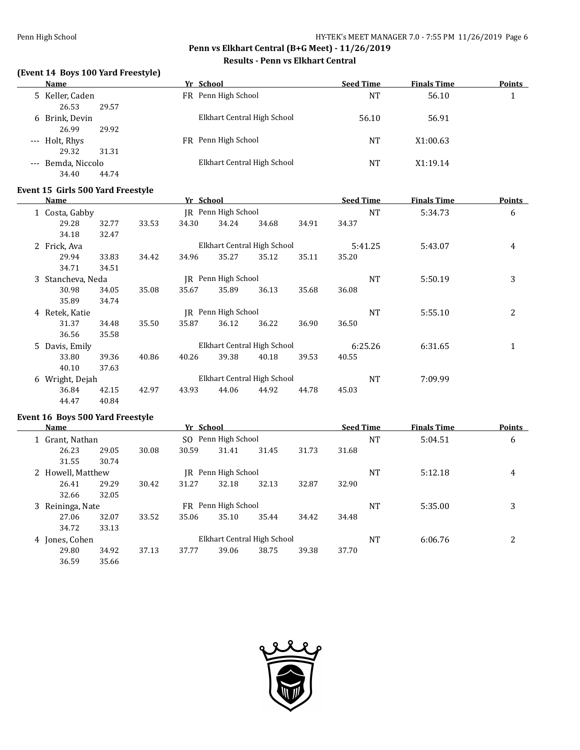#### **(Event 14 Boys 100 Yard Freestyle)**

| Name               |       |     | Yr School                   | <b>Seed Time</b> | <b>Finals Time</b> | <b>Points</b> |
|--------------------|-------|-----|-----------------------------|------------------|--------------------|---------------|
| 5 Keller, Caden    |       | FR. | Penn High School            | NT               | 56.10              |               |
| 26.53              | 29.57 |     |                             |                  |                    |               |
| 6 Brink, Devin     |       |     | Elkhart Central High School | 56.10            | 56.91              |               |
| 26.99              | 29.92 |     |                             |                  |                    |               |
| --- Holt, Rhys     |       | FR. | Penn High School            | NT               | X1:00.63           |               |
| 29.32              | 31.31 |     |                             |                  |                    |               |
| --- Bemda, Niccolo |       |     | Elkhart Central High School | NT               | X1:19.14           |               |
| 34.40              | 44.74 |     |                             |                  |                    |               |

#### **Event 15 Girls 500 Yard Freestyle**

| <b>Name</b> |                   |                             | Yr School |                             |                     |                             |         | <b>Seed Time</b> | <b>Finals Time</b> | <b>Points</b> |
|-------------|-------------------|-----------------------------|-----------|-----------------------------|---------------------|-----------------------------|---------|------------------|--------------------|---------------|
|             | 1 Costa, Gabby    |                             |           |                             | JR Penn High School |                             |         | <b>NT</b>        | 5:34.73            | 6             |
|             | 29.28             | 32.77                       | 33.53     | 34.30                       | 34.24               | 34.68                       | 34.91   | 34.37            |                    |               |
|             | 34.18             | 32.47                       |           |                             |                     |                             |         |                  |                    |               |
|             | 2 Frick, Ava      |                             |           | Elkhart Central High School |                     |                             |         | 5:41.25          | 5:43.07            | 4             |
|             | 29.94             | 33.83                       | 34.42     | 34.96                       | 35.27               | 35.12                       | 35.11   | 35.20            |                    |               |
|             | 34.71             | 34.51                       |           |                             |                     |                             |         |                  |                    |               |
|             | 3 Stancheva, Neda |                             |           |                             | JR Penn High School |                             |         | <b>NT</b>        | 5:50.19            | 3             |
|             | 30.98             | 34.05                       | 35.08     | 35.67                       | 35.89               | 36.13                       | 35.68   | 36.08            |                    |               |
|             | 35.89             | 34.74                       |           |                             |                     |                             |         |                  |                    |               |
|             | 4 Retek, Katie    |                             |           | JR Penn High School         |                     |                             |         | NT               | 5:55.10            | 2             |
|             | 31.37             | 34.48                       | 35.50     | 35.87                       | 36.12               | 36.22                       | 36.90   | 36.50            |                    |               |
|             | 36.56             | 35.58                       |           |                             |                     |                             |         |                  |                    |               |
|             | 5 Davis, Emily    |                             |           |                             |                     | Elkhart Central High School |         | 6:25.26          | 6:31.65            | 1             |
|             | 33.80             | 39.36                       | 40.86     | 40.26                       | 39.38               | 40.18                       | 39.53   | 40.55            |                    |               |
|             | 40.10             | 37.63                       |           |                             |                     |                             |         |                  |                    |               |
|             | 6 Wright, Dejah   | Elkhart Central High School |           |                             |                     | <b>NT</b>                   | 7:09.99 |                  |                    |               |
|             | 36.84             | 42.15                       | 42.97     | 43.93                       | 44.06               | 44.92                       | 44.78   | 45.03            |                    |               |
|             | 44.47             | 40.84                       |           |                             |                     |                             |         |                  |                    |               |

#### **Event 16 Boys 500 Yard Freestyle**

| Name |                   |       | Yr School               |       |                  |                             |       | <b>Seed Time</b> |           | <b>Finals Time</b> | <b>Points</b> |
|------|-------------------|-------|-------------------------|-------|------------------|-----------------------------|-------|------------------|-----------|--------------------|---------------|
|      | 1 Grant, Nathan   |       | Penn High School<br>SO. |       |                  |                             |       | <b>NT</b>        | 5:04.51   | 6                  |               |
|      | 26.23             | 29.05 | 30.08                   | 30.59 | 31.41            | 31.45                       | 31.73 | 31.68            |           |                    |               |
|      | 31.55             | 30.74 |                         |       |                  |                             |       |                  |           |                    |               |
|      | 2 Howell, Matthew |       |                         | IR.   | Penn High School |                             |       |                  | <b>NT</b> | 5:12.18            | 4             |
|      | 26.41             | 29.29 | 30.42                   | 31.27 | 32.18            | 32.13                       | 32.87 | 32.90            |           |                    |               |
|      | 32.66             | 32.05 |                         |       |                  |                             |       |                  |           |                    |               |
|      | 3 Reininga, Nate  |       | Penn High School<br>FR. |       |                  |                             |       |                  | <b>NT</b> | 5:35.00            | 3             |
|      | 27.06             | 32.07 | 33.52                   | 35.06 | 35.10            | 35.44                       | 34.42 | 34.48            |           |                    |               |
|      | 34.72             | 33.13 |                         |       |                  |                             |       |                  |           |                    |               |
|      | 4 Jones, Cohen    |       |                         |       |                  | Elkhart Central High School |       |                  | NT        | 6:06.76            | 2             |
|      | 29.80             | 34.92 | 37.13                   | 37.77 | 39.06            | 38.75                       | 39.38 | 37.70            |           |                    |               |
|      | 36.59             | 35.66 |                         |       |                  |                             |       |                  |           |                    |               |

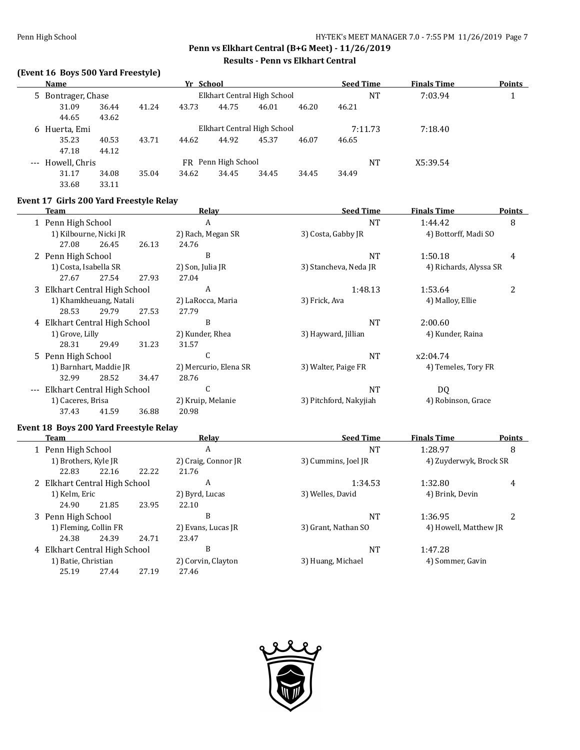$\overline{a}$ 

## **Penn vs Elkhart Central (B+G Meet) - 11/26/2019 Results - Penn vs Elkhart Central**

### **(Event 16 Boys 500 Yard Freestyle)**

| Name               |       |       | Yr School |                     |                             |       | <b>Seed Time</b> | <b>Finals Time</b> | <b>Points</b> |
|--------------------|-------|-------|-----------|---------------------|-----------------------------|-------|------------------|--------------------|---------------|
| 5 Bontrager, Chase |       |       |           |                     | Elkhart Central High School |       | <b>NT</b>        | 7:03.94            |               |
| 31.09              | 36.44 | 41.24 | 43.73     | 44.75               | 46.01                       | 46.20 | 46.21            |                    |               |
| 44.65              | 43.62 |       |           |                     |                             |       |                  |                    |               |
| 6 Huerta, Emi      |       |       |           |                     | Elkhart Central High School |       | 7:11.73          | 7:18.40            |               |
| 35.23              | 40.53 | 43.71 | 44.62     | 44.92               | 45.37                       | 46.07 | 46.65            |                    |               |
| 47.18              | 44.12 |       |           |                     |                             |       |                  |                    |               |
| --- Howell, Chris  |       |       |           | FR Penn High School |                             |       | <b>NT</b>        | X5:39.54           |               |
| 31.17              | 34.08 | 35.04 | 34.62     | 34.45               | 34.45                       | 34.45 | 34.49            |                    |               |
| 33.68              | 33.11 |       |           |                     |                             |       |                  |                    |               |

#### **Event 17 Girls 200 Yard Freestyle Relay**

|                   | Team                          |       |       | <b>Relay</b>          | <b>Seed Time</b>       | <b>Finals Time</b>     | <b>Points</b> |
|-------------------|-------------------------------|-------|-------|-----------------------|------------------------|------------------------|---------------|
|                   | 1 Penn High School            |       |       | A                     | <b>NT</b>              | 1:44.42                | 8             |
|                   | 1) Kilbourne, Nicki JR        |       |       | 2) Rach, Megan SR     | 3) Costa, Gabby JR     | 4) Bottorff, Madi SO   |               |
|                   | 27.08                         | 26.45 | 26.13 | 24.76                 |                        |                        |               |
|                   | 2 Penn High School            |       |       | B                     | <b>NT</b>              | 1:50.18                | 4             |
|                   | 1) Costa, Isabella SR         |       |       | 2) Son, Julia JR      | 3) Stancheva, Neda JR  | 4) Richards, Alyssa SR |               |
|                   | 27.67                         | 27.54 | 27.93 | 27.04                 |                        |                        |               |
|                   | 3 Elkhart Central High School |       |       | A                     | 1:48.13                | 1:53.64                | 2             |
|                   | 1) Khamkheuang, Natali        |       |       | 2) LaRocca, Maria     | 3) Frick, Ava          | 4) Malloy, Ellie       |               |
|                   | 28.53                         | 29.79 | 27.53 | 27.79                 |                        |                        |               |
| 4                 | Elkhart Central High School   |       |       | B                     | NT                     | 2:00.60                |               |
|                   | 1) Grove, Lilly               |       |       | 2) Kunder, Rhea       | 3) Hayward, Jillian    | 4) Kunder, Raina       |               |
|                   | 28.31                         | 29.49 | 31.23 | 31.57                 |                        |                        |               |
| 5.                | Penn High School              |       |       | C                     | NT                     | x2:04.74               |               |
|                   | 1) Barnhart, Maddie JR        |       |       | 2) Mercurio, Elena SR | 3) Walter, Paige FR    | 4) Temeles, Tory FR    |               |
|                   | 32.99                         | 28.52 | 34.47 | 28.76                 |                        |                        |               |
| $\qquad \qquad -$ | Elkhart Central High School   |       |       | C                     | NT                     | DQ                     |               |
|                   | 1) Caceres, Brisa             |       |       | 2) Kruip, Melanie     | 3) Pitchford, Nakyjiah | 4) Robinson, Grace     |               |
|                   | 37.43                         | 41.59 | 36.88 | 20.98                 |                        |                        |               |

### **Event 18 Boys 200 Yard Freestyle Relay**

| Team                          |       | Relay               | <b>Seed Time</b>    | <b>Finals Time</b>     | <b>Points</b> |
|-------------------------------|-------|---------------------|---------------------|------------------------|---------------|
| 1 Penn High School            |       | A                   | <b>NT</b>           | 1:28.97                | 8             |
| 1) Brothers, Kyle JR          |       | 2) Craig, Connor JR | 3) Cummins, Joel JR | 4) Zuyderwyk, Brock SR |               |
| 22.83<br>22.16                | 22.22 | 21.76               |                     |                        |               |
| 2 Elkhart Central High School |       | A                   | 1:34.53             | 1:32.80                | 4             |
| 1) Kelm, Eric                 |       | 2) Byrd, Lucas      | 3) Welles, David    | 4) Brink, Devin        |               |
| 24.90<br>21.85                | 23.95 | 22.10               |                     |                        |               |
| 3 Penn High School            |       | B                   | <b>NT</b>           | 1:36.95                | າ<br>∠        |
| 1) Fleming, Collin FR         |       | 2) Evans, Lucas JR  | 3) Grant, Nathan SO | 4) Howell, Matthew JR  |               |
| 24.38<br>24.39                | 24.71 | 23.47               |                     |                        |               |
| 4 Elkhart Central High School |       | B                   | <b>NT</b>           | 1:47.28                |               |
| 1) Batie, Christian           |       | 2) Corvin, Clayton  | 3) Huang, Michael   | 4) Sommer, Gavin       |               |
| 25.19<br>27.44                | 27.19 | 27.46               |                     |                        |               |

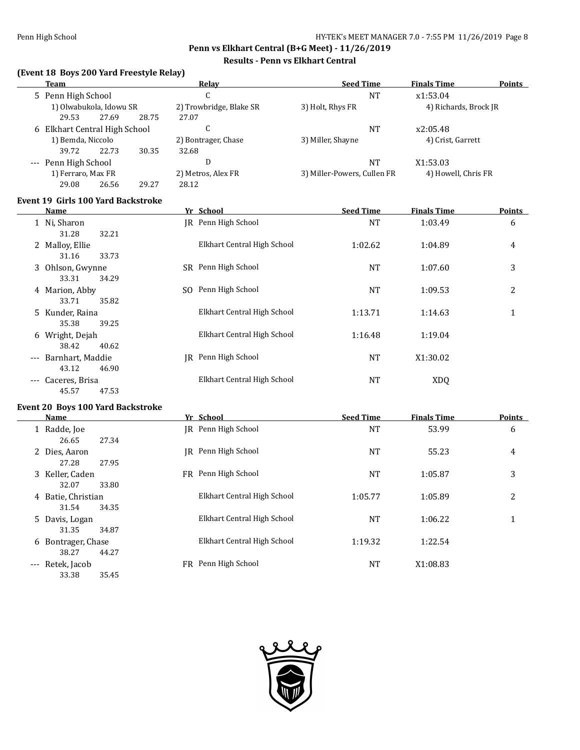# **Penn vs Elkhart Central (B+G Meet) - 11/26/2019**

#### **Results - Penn vs Elkhart Central**

#### **(Event 18 Boys 200 Yard Freestyle Relay)**

|                   | <b>Team</b>                        |       |       |       | Relay                       | <b>Seed Time</b>            | <b>Finals Time</b>    | <b>Points</b> |
|-------------------|------------------------------------|-------|-------|-------|-----------------------------|-----------------------------|-----------------------|---------------|
|                   | 5 Penn High School                 |       |       |       | C                           | NT                          | x1:53.04              |               |
|                   | 1) Olwabukola, Idowu SR            |       |       |       | 2) Trowbridge, Blake SR     | 3) Holt, Rhys FR            | 4) Richards, Brock JR |               |
|                   | 29.53                              | 27.69 | 28.75 | 27.07 |                             |                             |                       |               |
| 6                 | Elkhart Central High School        |       |       |       | $\mathcal{C}$               | <b>NT</b>                   | x2:05.48              |               |
|                   | 1) Bemda, Niccolo                  |       |       |       | 2) Bontrager, Chase         | 3) Miller, Shayne           | 4) Crist, Garrett     |               |
|                   | 39.72                              | 22.73 | 30.35 | 32.68 |                             |                             |                       |               |
| $---$             | Penn High School                   |       |       |       | D                           | <b>NT</b>                   | X1:53.03              |               |
|                   | 1) Ferraro, Max FR                 |       |       |       | 2) Metros, Alex FR          | 3) Miller-Powers, Cullen FR | 4) Howell, Chris FR   |               |
|                   | 29.08                              | 26.56 | 29.27 | 28.12 |                             |                             |                       |               |
|                   | Event 19 Girls 100 Yard Backstroke |       |       |       |                             |                             |                       |               |
|                   | <b>Name</b>                        |       |       |       | Yr School                   | <b>Seed Time</b>            | <b>Finals Time</b>    | <b>Points</b> |
|                   | 1 Ni, Sharon                       |       |       |       | JR Penn High School         | NT                          | 1:03.49               | 6             |
|                   | 31.28                              | 32.21 |       |       |                             |                             |                       |               |
|                   | 2 Malloy, Ellie                    |       |       |       | Elkhart Central High School | 1:02.62                     | 1:04.89               | 4             |
|                   | 31.16                              | 33.73 |       |       |                             |                             |                       |               |
| 3                 | Ohlson, Gwynne                     |       |       |       | SR Penn High School         | NT                          | 1:07.60               | 3             |
|                   | 33.31                              | 34.29 |       |       |                             |                             |                       |               |
|                   | 4 Marion, Abby                     |       |       |       | SO Penn High School         | <b>NT</b>                   | 1:09.53               | 2             |
|                   | 33.71                              | 35.82 |       |       |                             |                             |                       |               |
|                   | 5 Kunder, Raina                    |       |       |       | Elkhart Central High School | 1:13.71                     | 1:14.63               | $\mathbf{1}$  |
|                   | 35.38                              | 39.25 |       |       |                             |                             |                       |               |
| 6                 | Wright, Dejah                      |       |       |       | Elkhart Central High School | 1:16.48                     | 1:19.04               |               |
|                   | 38.42                              | 40.62 |       |       |                             |                             |                       |               |
| $\qquad \qquad -$ | Barnhart, Maddie                   |       |       |       | IR Penn High School         | <b>NT</b>                   | X1:30.02              |               |
|                   | 43.12                              | 46.90 |       |       |                             |                             |                       |               |

# 45.57 47.53 **Event 20 Boys 100 Yard Backstroke**

|                     | Name                        |       |    | Yr School                   | <b>Seed Time</b> | <b>Finals Time</b> | <b>Points</b> |
|---------------------|-----------------------------|-------|----|-----------------------------|------------------|--------------------|---------------|
|                     | 1 Radde, Joe<br>26.65       | 27.34 |    | JR Penn High School         | <b>NT</b>        | 53.99              | 6             |
|                     | 2 Dies, Aaron<br>27.28      | 27.95 |    | IR Penn High School         | <b>NT</b>        | 55.23              | 4             |
|                     | 3 Keller, Caden<br>32.07    | 33.80 |    | FR Penn High School         | <b>NT</b>        | 1:05.87            | 3             |
|                     | 4 Batie, Christian<br>31.54 | 34.35 |    | Elkhart Central High School | 1:05.77          | 1:05.89            | 2             |
|                     | 5 Davis, Logan<br>31.35     | 34.87 |    | Elkhart Central High School | <b>NT</b>        | 1:06.22            | 1             |
|                     | 6 Bontrager, Chase<br>38.27 | 44.27 |    | Elkhart Central High School | 1:19.32          | 1:22.54            |               |
| $\qquad \qquad - -$ | Retek, Jacob<br>33.38       | 35.45 | FR | Penn High School            | <b>NT</b>        | X1:08.83           |               |

--- Caceres, Brisa **Elkhart Central High School** NT XDQ

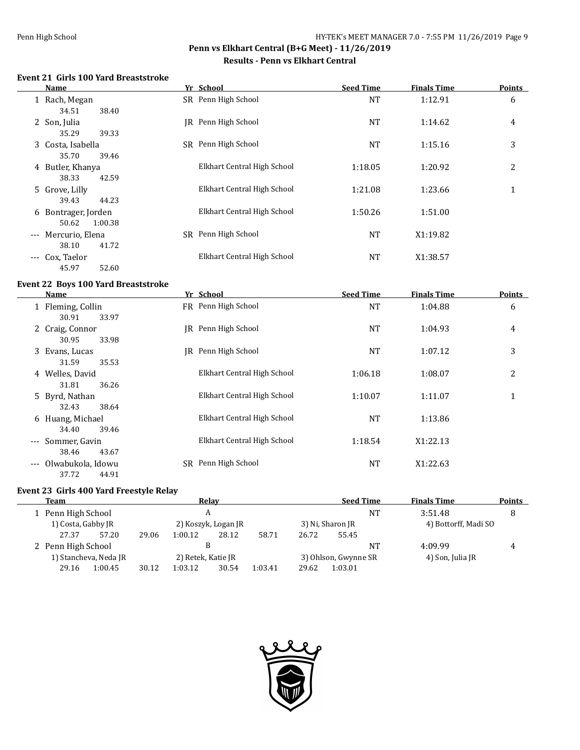#### **Event 21 Girls 100 Yard Breaststroke**

| Name                                                 | Yr School                   | <b>Seed Time</b> | <b>Finals Time</b> | <b>Points</b> |
|------------------------------------------------------|-----------------------------|------------------|--------------------|---------------|
| 1 Rach, Megan<br>34.51<br>38.40                      | SR Penn High School         | <b>NT</b>        | 1:12.91            | 6             |
| 2 Son, Julia<br>35.29<br>39.33                       | IR Penn High School         | <b>NT</b>        | 1:14.62            | 4             |
| 3 Costa, Isabella<br>35.70<br>39.46                  | Penn High School<br>SR.     | <b>NT</b>        | 1:15.16            | 3             |
| 4 Butler, Khanya<br>38.33<br>42.59                   | Elkhart Central High School | 1:18.05          | 1:20.92            | 2             |
| 5 Grove, Lilly<br>39.43<br>44.23                     | Elkhart Central High School | 1:21.08          | 1:23.66            | $\mathbf{1}$  |
| 6 Bontrager, Jorden<br>1:00.38<br>50.62              | Elkhart Central High School | 1:50.26          | 1:51.00            |               |
| Mercurio, Elena<br>$---$<br>38.10<br>41.72           | Penn High School<br>SR.     | NT               | X1:19.82           |               |
| Cox, Taelor<br>$\qquad \qquad - -$<br>45.97<br>52.60 | Elkhart Central High School | NT               | X1:38.57           |               |

### **Event 22 Boys 100 Yard Breaststroke**

|                     | Name                                |     | Yr School                   | <b>Seed Time</b> | <b>Finals Time</b> | <b>Points</b> |
|---------------------|-------------------------------------|-----|-----------------------------|------------------|--------------------|---------------|
|                     | 1 Fleming, Collin<br>33.97<br>30.91 |     | FR Penn High School         | NT               | 1:04.88            | 6             |
|                     | 2 Craig, Connor<br>33.98<br>30.95   |     | JR Penn High School         | <b>NT</b>        | 1:04.93            | 4             |
|                     | 3 Evans, Lucas<br>31.59<br>35.53    |     | JR Penn High School         | <b>NT</b>        | 1:07.12            | 3             |
|                     | 4 Welles, David<br>31.81<br>36.26   |     | Elkhart Central High School | 1:06.18          | 1:08.07            | 2             |
|                     | 5 Byrd, Nathan<br>32.43<br>38.64    |     | Elkhart Central High School | 1:10.07          | 1:11.07            | 1<br>ᅩ        |
|                     | 6 Huang, Michael<br>39.46<br>34.40  |     | Elkhart Central High School | NT               | 1:13.86            |               |
| $\qquad \qquad - -$ | Sommer, Gavin<br>43.67<br>38.46     |     | Elkhart Central High School | 1:18.54          | X1:22.13           |               |
| $\qquad \qquad - -$ | Olwabukola, Idowu<br>37.72<br>44.91 | SR. | Penn High School            | NT               | X1:22.63           |               |

#### **Event 23 Girls 400 Yard Freestyle Relay**

| Team               |                       | Relay               |         |                    |         |           |                      | <b>Seed Time</b>     | <b>Finals Time</b> | <b>Points</b> |
|--------------------|-----------------------|---------------------|---------|--------------------|---------|-----------|----------------------|----------------------|--------------------|---------------|
| 1 Penn High School |                       | A                   |         |                    |         | <b>NT</b> | 3:51.48              |                      |                    |               |
| 1) Costa, Gabby JR |                       | 2) Koszyk, Logan JR |         | 3) Ni, Sharon JR   |         |           | 4) Bottorff, Madi SO |                      |                    |               |
| 27.37              | 57.20                 | 29.06               | 1:00.12 | 28.12              | 58.71   | 26.72     | 55.45                |                      |                    |               |
| 2 Penn High School |                       |                     |         |                    |         |           |                      | <b>NT</b>            | 4:09.99            | 4             |
|                    | 1) Stancheva, Neda JR |                     |         | 2) Retek, Katie JR |         |           |                      | 3) Ohlson, Gwynne SR | 4) Son, Julia JR   |               |
| 29.16              | 1:00.45               | 30.12               | 1:03.12 | 30.54              | 1:03.41 | 29.62     | 1:03.01              |                      |                    |               |
|                    |                       |                     |         |                    |         |           |                      |                      |                    |               |